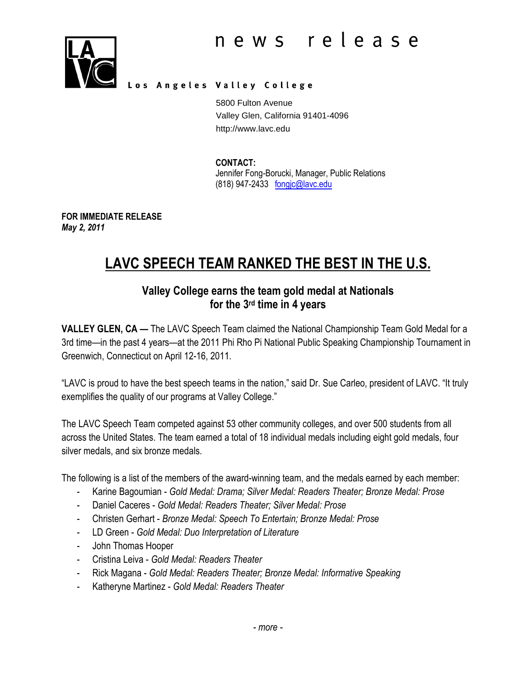

### Los Angeles Valley College

5800 Fulton Avenue Valley Glen, California 91401-4096 http://www.lavc.edu

#### CONTACT:

Jennifer Fong-Borucki, Manager, Public Relations (818) 947-2433 fongjc@lavc.edu

FOR IMMEDIATE RELEASE May 2, 2011

# LAVC SPEECH TEAM RANKED THE BEST IN THE U.S.

# Valley College earns the team gold medal at Nationals for the 3rd time in 4 years

VALLEY GLEN, CA — The LAVC Speech Team claimed the National Championship Team Gold Medal for a 3rd time—in the past 4 years—at the 2011 Phi Rho Pi National Public Speaking Championship Tournament in Greenwich, Connecticut on April 12-16, 2011.

"LAVC is proud to have the best speech teams in the nation," said Dr. Sue Carleo, president of LAVC. "It truly exemplifies the quality of our programs at Valley College."

The LAVC Speech Team competed against 53 other community colleges, and over 500 students from all across the United States. The team earned a total of 18 individual medals including eight gold medals, four silver medals, and six bronze medals.

The following is a list of the members of the award-winning team, and the medals earned by each member:

- Karine Bagoumian Gold Medal: Drama; Silver Medal: Readers Theater; Bronze Medal: Prose
- Daniel Caceres Gold Medal: Readers Theater; Silver Medal: Prose
- Christen Gerhart Bronze Medal: Speech To Entertain; Bronze Medal: Prose
- LD Green Gold Medal: Duo Interpretation of Literature
- John Thomas Hooper
- Cristina Leiva Gold Medal: Readers Theater
- Rick Magana Gold Medal: Readers Theater; Bronze Medal: Informative Speaking
- Katheryne Martinez Gold Medal: Readers Theater